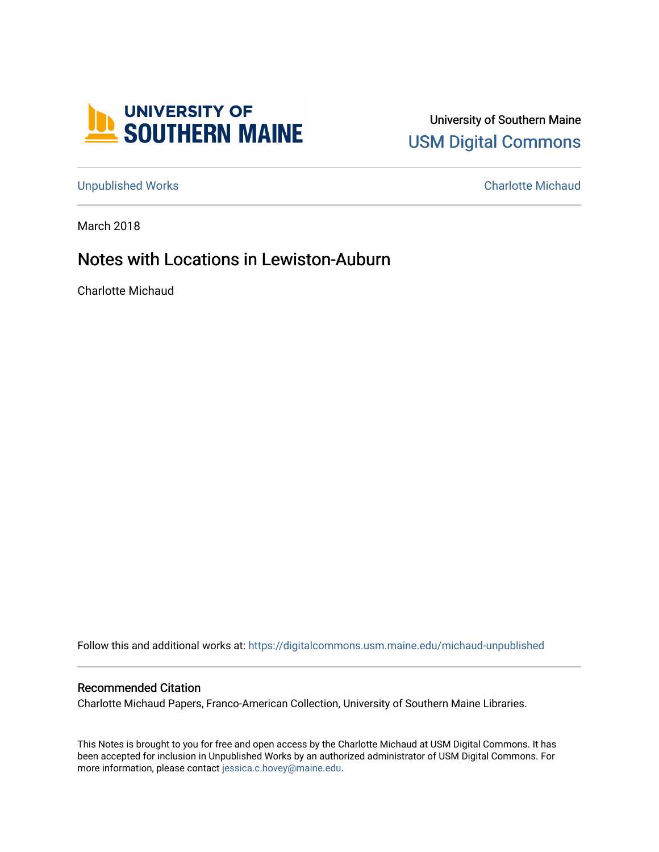

University of Southern Maine [USM Digital Commons](https://digitalcommons.usm.maine.edu/) 

[Unpublished Works](https://digitalcommons.usm.maine.edu/michaud-unpublished) [Charlotte Michaud](https://digitalcommons.usm.maine.edu/charlotte-michaud) 

March 2018

## Notes with Locations in Lewiston-Auburn

Charlotte Michaud

Follow this and additional works at: [https://digitalcommons.usm.maine.edu/michaud-unpublished](https://digitalcommons.usm.maine.edu/michaud-unpublished?utm_source=digitalcommons.usm.maine.edu%2Fmichaud-unpublished%2F12&utm_medium=PDF&utm_campaign=PDFCoverPages) 

## Recommended Citation

Charlotte Michaud Papers, Franco-American Collection, University of Southern Maine Libraries.

This Notes is brought to you for free and open access by the Charlotte Michaud at USM Digital Commons. It has been accepted for inclusion in Unpublished Works by an authorized administrator of USM Digital Commons. For more information, please contact [jessica.c.hovey@maine.edu](mailto:ian.fowler@maine.edu).